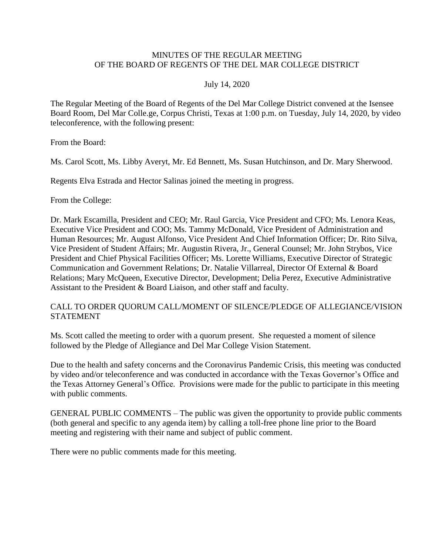### MINUTES OF THE REGULAR MEETING OF THE BOARD OF REGENTS OF THE DEL MAR COLLEGE DISTRICT

#### July 14, 2020

The Regular Meeting of the Board of Regents of the Del Mar College District convened at the Isensee Board Room, Del Mar Colle.ge, Corpus Christi, Texas at 1:00 p.m. on Tuesday, July 14, 2020, by video teleconference, with the following present:

From the Board:

Ms. Carol Scott, Ms. Libby Averyt, Mr. Ed Bennett, Ms. Susan Hutchinson, and Dr. Mary Sherwood.

Regents Elva Estrada and Hector Salinas joined the meeting in progress.

From the College:

Dr. Mark Escamilla, President and CEO; Mr. Raul Garcia, Vice President and CFO; Ms. Lenora Keas, Executive Vice President and COO; Ms. Tammy McDonald, Vice President of Administration and Human Resources; Mr. August Alfonso, Vice President And Chief Information Officer; Dr. Rito Silva, Vice President of Student Affairs; Mr. Augustin Rivera, Jr., General Counsel; Mr. John Strybos, Vice President and Chief Physical Facilities Officer; Ms. Lorette Williams, Executive Director of Strategic Communication and Government Relations; Dr. Natalie Villarreal, Director Of External & Board Relations; Mary McQueen, Executive Director, Development; Delia Perez, Executive Administrative Assistant to the President & Board Liaison, and other staff and faculty.

#### CALL TO ORDER QUORUM CALL/MOMENT OF SILENCE/PLEDGE OF ALLEGIANCE/VISION STATEMENT

Ms. Scott called the meeting to order with a quorum present. She requested a moment of silence followed by the Pledge of Allegiance and Del Mar College Vision Statement.

Due to the health and safety concerns and the Coronavirus Pandemic Crisis, this meeting was conducted by video and/or teleconference and was conducted in accordance with the Texas Governor's Office and the Texas Attorney General's Office. Provisions were made for the public to participate in this meeting with public comments.

GENERAL PUBLIC COMMENTS – The public was given the opportunity to provide public comments (both general and specific to any agenda item) by calling a toll-free phone line prior to the Board meeting and registering with their name and subject of public comment.

There were no public comments made for this meeting.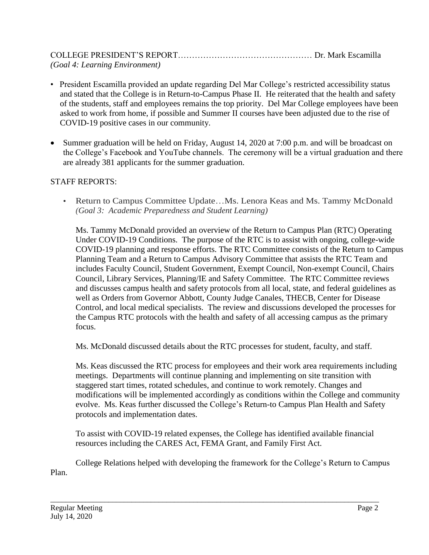| (Goal 4: Learning Environment) |  |  |
|--------------------------------|--|--|

- President Escamilla provided an update regarding Del Mar College's restricted accessibility status and stated that the College is in Return-to-Campus Phase II. He reiterated that the health and safety of the students, staff and employees remains the top priority. Del Mar College employees have been asked to work from home, if possible and Summer II courses have been adjusted due to the rise of COVID-19 positive cases in our community.
- Summer graduation will be held on Friday, August 14, 2020 at 7:00 p.m. and will be broadcast on the College's Facebook and YouTube channels. The ceremony will be a virtual graduation and there are already 381 applicants for the summer graduation.

# STAFF REPORTS:

• Return to Campus Committee Update...Ms. Lenora Keas and Ms. Tammy McDonald *(Goal 3: Academic Preparedness and Student Learning)*

Ms. Tammy McDonald provided an overview of the Return to Campus Plan (RTC) Operating Under COVID-19 Conditions. The purpose of the RTC is to assist with ongoing, college-wide COVID-19 planning and response efforts. The RTC Committee consists of the Return to Campus Planning Team and a Return to Campus Advisory Committee that assists the RTC Team and includes Faculty Council, Student Government, Exempt Council, Non-exempt Council, Chairs Council, Library Services, Planning/IE and Safety Committee. The RTC Committee reviews and discusses campus health and safety protocols from all local, state, and federal guidelines as well as Orders from Governor Abbott, County Judge Canales, THECB, Center for Disease Control, and local medical specialists. The review and discussions developed the processes for the Campus RTC protocols with the health and safety of all accessing campus as the primary focus.

Ms. McDonald discussed details about the RTC processes for student, faculty, and staff.

Ms. Keas discussed the RTC process for employees and their work area requirements including meetings. Departments will continue planning and implementing on site transition with staggered start times, rotated schedules, and continue to work remotely. Changes and modifications will be implemented accordingly as conditions within the College and community evolve. Ms. Keas further discussed the College's Return-to Campus Plan Health and Safety protocols and implementation dates.

To assist with COVID-19 related expenses, the College has identified available financial resources including the CARES Act, FEMA Grant, and Family First Act.

College Relations helped with developing the framework for the College's Return to Campus Plan.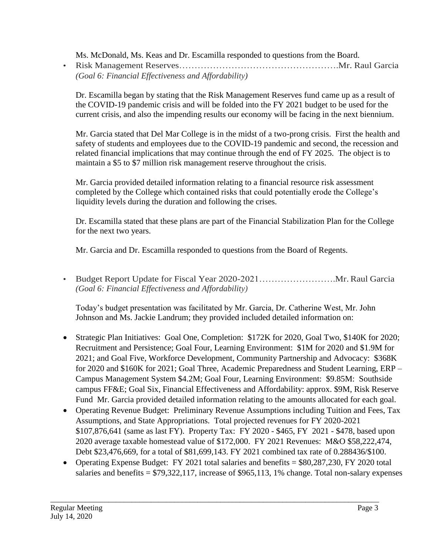Ms. McDonald, Ms. Keas and Dr. Escamilla responded to questions from the Board.

• Risk Management Reserves…………………………………………….Mr. Raul Garcia *(Goal 6: Financial Effectiveness and Affordability)*

Dr. Escamilla began by stating that the Risk Management Reserves fund came up as a result of the COVID-19 pandemic crisis and will be folded into the FY 2021 budget to be used for the current crisis, and also the impending results our economy will be facing in the next biennium.

Mr. Garcia stated that Del Mar College is in the midst of a two-prong crisis. First the health and safety of students and employees due to the COVID-19 pandemic and second, the recession and related financial implications that may continue through the end of FY 2025. The object is to maintain a \$5 to \$7 million risk management reserve throughout the crisis.

Mr. Garcia provided detailed information relating to a financial resource risk assessment completed by the College which contained risks that could potentially erode the College's liquidity levels during the duration and following the crises.

Dr. Escamilla stated that these plans are part of the Financial Stabilization Plan for the College for the next two years.

Mr. Garcia and Dr. Escamilla responded to questions from the Board of Regents.

• Budget Report Update for Fiscal Year 2020-2021…………………….Mr. Raul Garcia *(Goal 6: Financial Effectiveness and Affordability)*

Today's budget presentation was facilitated by Mr. Garcia, Dr. Catherine West, Mr. John Johnson and Ms. Jackie Landrum; they provided included detailed information on:

- Strategic Plan Initiatives: Goal One, Completion: \$172K for 2020, Goal Two, \$140K for 2020; Recruitment and Persistence; Goal Four, Learning Environment: \$1M for 2020 and \$1.9M for 2021; and Goal Five, Workforce Development, Community Partnership and Advocacy: \$368K for 2020 and \$160K for 2021; Goal Three, Academic Preparedness and Student Learning, ERP – Campus Management System \$4.2M; Goal Four, Learning Environment: \$9.85M: Southside campus FF&E; Goal Six, Financial Effectiveness and Affordability: approx. \$9M, Risk Reserve Fund Mr. Garcia provided detailed information relating to the amounts allocated for each goal.
- Operating Revenue Budget: Preliminary Revenue Assumptions including Tuition and Fees, Tax Assumptions, and State Appropriations. Total projected revenues for FY 2020-2021 \$107,876,641 (same as last FY). Property Tax: FY 2020 - \$465, FY 2021 - \$478, based upon 2020 average taxable homestead value of \$172,000. FY 2021 Revenues: M&O \$58,222,474, Debt \$23,476,669, for a total of \$81,699,143. FY 2021 combined tax rate of 0.288436/\$100.
- Operating Expense Budget: FY 2021 total salaries and benefits = \$80,287,230, FY 2020 total salaries and benefits = \$79,322,117, increase of \$965,113, 1% change. Total non-salary expenses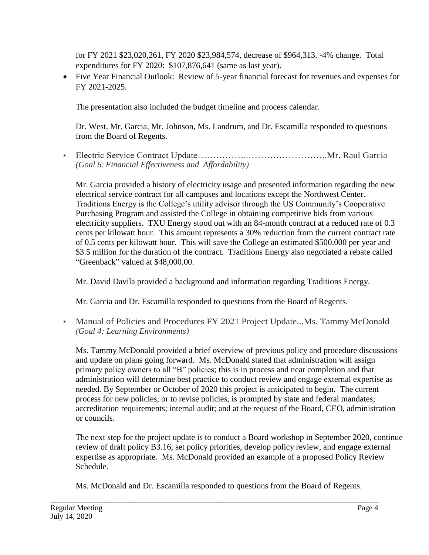for FY 2021 \$23,020,261, FY 2020 \$23,984,574, decrease of \$964,313. -4% change. Total expenditures for FY 2020: \$107,876,641 (same as last year).

 Five Year Financial Outlook: Review of 5-year financial forecast for revenues and expenses for FY 2021-2025.

The presentation also included the budget timeline and process calendar.

Dr. West, Mr. Garcia, Mr. Johnson, Ms. Landrum, and Dr. Escamilla responded to questions from the Board of Regents.

• Electric Service Contract Update……………..……………………..Mr. Raul Garcia *(Goal 6: Financial Effectiveness and Affordability)*

Mr. Garcia provided a history of electricity usage and presented information regarding the new electrical service contract for all campuses and locations except the Northwest Center. Traditions Energy is the College's utility advisor through the US Community's Cooperative Purchasing Program and assisted the College in obtaining competitive bids from various electricity suppliers. TXU Energy stood out with an 84-month contract at a reduced rate of 0.3 cents per kilowatt hour. This amount represents a 30% reduction from the current contract rate of 0.5 cents per kilowatt hour. This will save the College an estimated \$500,000 per year and \$3.5 million for the duration of the contract. Traditions Energy also negotiated a rebate called "Greenback" valued at \$48,000.00.

Mr. David Davila provided a background and information regarding Traditions Energy.

Mr. Garcia and Dr. Escamilla responded to questions from the Board of Regents.

• Manual of Policies and Procedures FY 2021 Project Update...Ms. TammyMcDonald *(Goal 4: Learning Environments)*

Ms. Tammy McDonald provided a brief overview of previous policy and procedure discussions and update on plans going forward. Ms. McDonald stated that administration will assign primary policy owners to all "B" policies; this is in process and near completion and that administration will determine best practice to conduct review and engage external expertise as needed. By September or October of 2020 this project is anticipated to begin. The current process for new policies, or to revise policies, is prompted by state and federal mandates; accreditation requirements; internal audit; and at the request of the Board, CEO, administration or councils.

The next step for the project update is to conduct a Board workshop in September 2020, continue review of draft policy B3.16, set policy priorities, develop policy review, and engage external expertise as appropriate. Ms. McDonald provided an example of a proposed Policy Review Schedule.

Ms. McDonald and Dr. Escamilla responded to questions from the Board of Regents.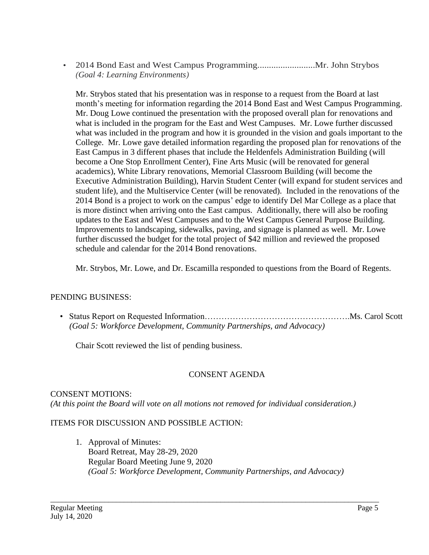• 2014 Bond East and West Campus Programming.........................Mr. John Strybos *(Goal 4: Learning Environments)*

Mr. Strybos stated that his presentation was in response to a request from the Board at last month's meeting for information regarding the 2014 Bond East and West Campus Programming. Mr. Doug Lowe continued the presentation with the proposed overall plan for renovations and what is included in the program for the East and West Campuses. Mr. Lowe further discussed what was included in the program and how it is grounded in the vision and goals important to the College. Mr. Lowe gave detailed information regarding the proposed plan for renovations of the East Campus in 3 different phases that include the Heldenfels Administration Building (will become a One Stop Enrollment Center), Fine Arts Music (will be renovated for general academics), White Library renovations, Memorial Classroom Building (will become the Executive Administration Building), Harvin Student Center (will expand for student services and student life), and the Multiservice Center (will be renovated). Included in the renovations of the 2014 Bond is a project to work on the campus' edge to identify Del Mar College as a place that is more distinct when arriving onto the East campus. Additionally, there will also be roofing updates to the East and West Campuses and to the West Campus General Purpose Building. Improvements to landscaping, sidewalks, paving, and signage is planned as well. Mr. Lowe further discussed the budget for the total project of \$42 million and reviewed the proposed schedule and calendar for the 2014 Bond renovations.

Mr. Strybos, Mr. Lowe, and Dr. Escamilla responded to questions from the Board of Regents.

## PENDING BUSINESS:

• Status Report on Requested Information…………………………………………….Ms. Carol Scott *(Goal 5: Workforce Development, Community Partnerships, and Advocacy)*

Chair Scott reviewed the list of pending business.

# CONSENT AGENDA

## CONSENT MOTIONS:

*(At this point the Board will vote on all motions not removed for individual consideration.)*

# ITEMS FOR DISCUSSION AND POSSIBLE ACTION:

1. Approval of Minutes: Board Retreat, May 28-29, 2020 Regular Board Meeting June 9, 2020 *(Goal 5: Workforce Development, Community Partnerships, and Advocacy)*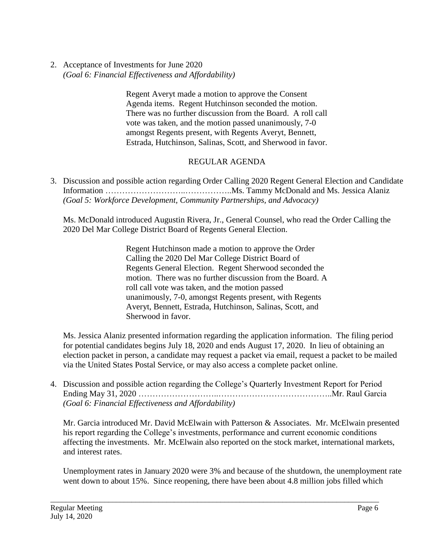2. Acceptance of Investments for June 2020 *(Goal 6: Financial Effectiveness and Affordability)*

> Regent Averyt made a motion to approve the Consent Agenda items. Regent Hutchinson seconded the motion. There was no further discussion from the Board. A roll call vote was taken, and the motion passed unanimously, 7-0 amongst Regents present, with Regents Averyt, Bennett, Estrada, Hutchinson, Salinas, Scott, and Sherwood in favor.

# REGULAR AGENDA

3. Discussion and possible action regarding Order Calling 2020 Regent General Election and Candidate Information ………………………..……………..Ms. Tammy McDonald and Ms. Jessica Alaniz *(Goal 5: Workforce Development, Community Partnerships, and Advocacy)*

Ms. McDonald introduced Augustin Rivera, Jr., General Counsel, who read the Order Calling the 2020 Del Mar College District Board of Regents General Election.

> Regent Hutchinson made a motion to approve the Order Calling the 2020 Del Mar College District Board of Regents General Election. Regent Sherwood seconded the motion. There was no further discussion from the Board. A roll call vote was taken, and the motion passed unanimously, 7-0, amongst Regents present, with Regents Averyt, Bennett, Estrada, Hutchinson, Salinas, Scott, and Sherwood in favor.

Ms. Jessica Alaniz presented information regarding the application information. The filing period for potential candidates begins July 18, 2020 and ends August 17, 2020. In lieu of obtaining an election packet in person, a candidate may request a packet via email, request a packet to be mailed via the United States Postal Service, or may also access a complete packet online.

4. Discussion and possible action regarding the College's Quarterly Investment Report for Period Ending May 31, 2020 ………………………..…………………………………..Mr. Raul Garcia *(Goal 6: Financial Effectiveness and Affordability)*

Mr. Garcia introduced Mr. David McElwain with Patterson & Associates. Mr. McElwain presented his report regarding the College's investments, performance and current economic conditions affecting the investments. Mr. McElwain also reported on the stock market, international markets, and interest rates.

Unemployment rates in January 2020 were 3% and because of the shutdown, the unemployment rate went down to about 15%. Since reopening, there have been about 4.8 million jobs filled which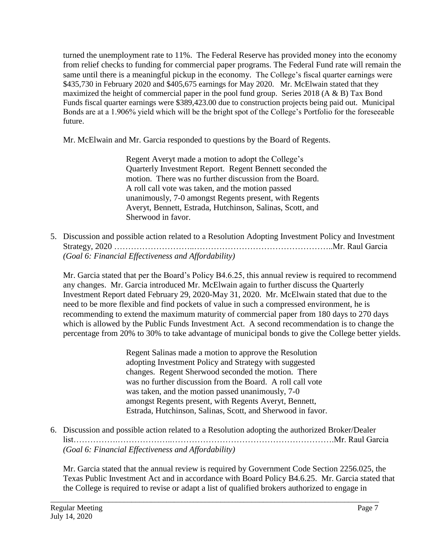turned the unemployment rate to 11%. The Federal Reserve has provided money into the economy from relief checks to funding for commercial paper programs. The Federal Fund rate will remain the same until there is a meaningful pickup in the economy. The College's fiscal quarter earnings were \$435,730 in February 2020 and \$405,675 earnings for May 2020. Mr. McElwain stated that they maximized the height of commercial paper in the pool fund group. Series 2018 (A & B) Tax Bond Funds fiscal quarter earnings were \$389,423.00 due to construction projects being paid out. Municipal Bonds are at a 1.906% yield which will be the bright spot of the College's Portfolio for the foreseeable future.

Mr. McElwain and Mr. Garcia responded to questions by the Board of Regents.

Regent Averyt made a motion to adopt the College's Quarterly Investment Report. Regent Bennett seconded the motion. There was no further discussion from the Board. A roll call vote was taken, and the motion passed unanimously, 7-0 amongst Regents present, with Regents Averyt, Bennett, Estrada, Hutchinson, Salinas, Scott, and Sherwood in favor.

5. Discussion and possible action related to a Resolution Adopting Investment Policy and Investment Strategy, 2020 ………………………..…………………………………………..Mr. Raul Garcia *(Goal 6: Financial Effectiveness and Affordability)*

Mr. Garcia stated that per the Board's Policy B4.6.25, this annual review is required to recommend any changes. Mr. Garcia introduced Mr. McElwain again to further discuss the Quarterly Investment Report dated February 29, 2020-May 31, 2020. Mr. McElwain stated that due to the need to be more flexible and find pockets of value in such a compressed environment, he is recommending to extend the maximum maturity of commercial paper from 180 days to 270 days which is allowed by the Public Funds Investment Act. A second recommendation is to change the percentage from 20% to 30% to take advantage of municipal bonds to give the College better yields.

> Regent Salinas made a motion to approve the Resolution adopting Investment Policy and Strategy with suggested changes. Regent Sherwood seconded the motion. There was no further discussion from the Board. A roll call vote was taken, and the motion passed unanimously, 7-0 amongst Regents present, with Regents Averyt, Bennett, Estrada, Hutchinson, Salinas, Scott, and Sherwood in favor.

6. Discussion and possible action related to a Resolution adopting the authorized Broker/Dealer list…………….………………..………………………………………………….Mr. Raul Garcia *(Goal 6: Financial Effectiveness and Affordability)*

\_\_\_\_\_\_\_\_\_\_\_\_\_\_\_\_\_\_\_\_\_\_\_\_\_\_\_\_\_\_\_\_\_\_\_\_\_\_\_\_\_\_\_\_\_\_\_\_\_\_\_\_\_\_\_\_\_\_\_\_\_\_\_\_\_\_\_\_\_\_\_\_\_\_\_\_\_\_\_\_\_\_\_\_\_

Mr. Garcia stated that the annual review is required by Government Code Section 2256.025, the Texas Public Investment Act and in accordance with Board Policy B4.6.25. Mr. Garcia stated that the College is required to revise or adapt a list of qualified brokers authorized to engage in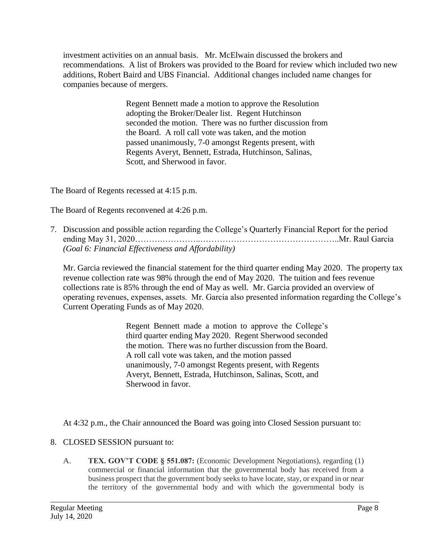investment activities on an annual basis. Mr. McElwain discussed the brokers and recommendations. A list of Brokers was provided to the Board for review which included two new additions, Robert Baird and UBS Financial. Additional changes included name changes for companies because of mergers.

> Regent Bennett made a motion to approve the Resolution adopting the Broker/Dealer list. Regent Hutchinson seconded the motion. There was no further discussion from the Board. A roll call vote was taken, and the motion passed unanimously, 7-0 amongst Regents present, with Regents Averyt, Bennett, Estrada, Hutchinson, Salinas, Scott, and Sherwood in favor.

The Board of Regents recessed at 4:15 p.m.

The Board of Regents reconvened at 4:26 p.m.

7. Discussion and possible action regarding the College's Quarterly Financial Report for the period ending May 31, 2020……….…………..…………………………………………..Mr. Raul Garcia *(Goal 6: Financial Effectiveness and Affordability)*

Mr. Garcia reviewed the financial statement for the third quarter ending May 2020. The property tax revenue collection rate was 98% through the end of May 2020. The tuition and fees revenue collections rate is 85% through the end of May as well. Mr. Garcia provided an overview of operating revenues, expenses, assets. Mr. Garcia also presented information regarding the College's Current Operating Funds as of May 2020.

> Regent Bennett made a motion to approve the College's third quarter ending May 2020. Regent Sherwood seconded the motion. There was no further discussion from the Board. A roll call vote was taken, and the motion passed unanimously, 7-0 amongst Regents present, with Regents Averyt, Bennett, Estrada, Hutchinson, Salinas, Scott, and Sherwood in favor.

At 4:32 p.m., the Chair announced the Board was going into Closed Session pursuant to:

- 8. CLOSED SESSION pursuant to:
	- A. **TEX. GOV'T CODE § 551.087:** (Economic Development Negotiations), regarding (1) commercial or financial information that the governmental body has received from a business prospect that the government body seeks to have locate, stay, or expand in or near the territory of the governmental body and with which the governmental body is